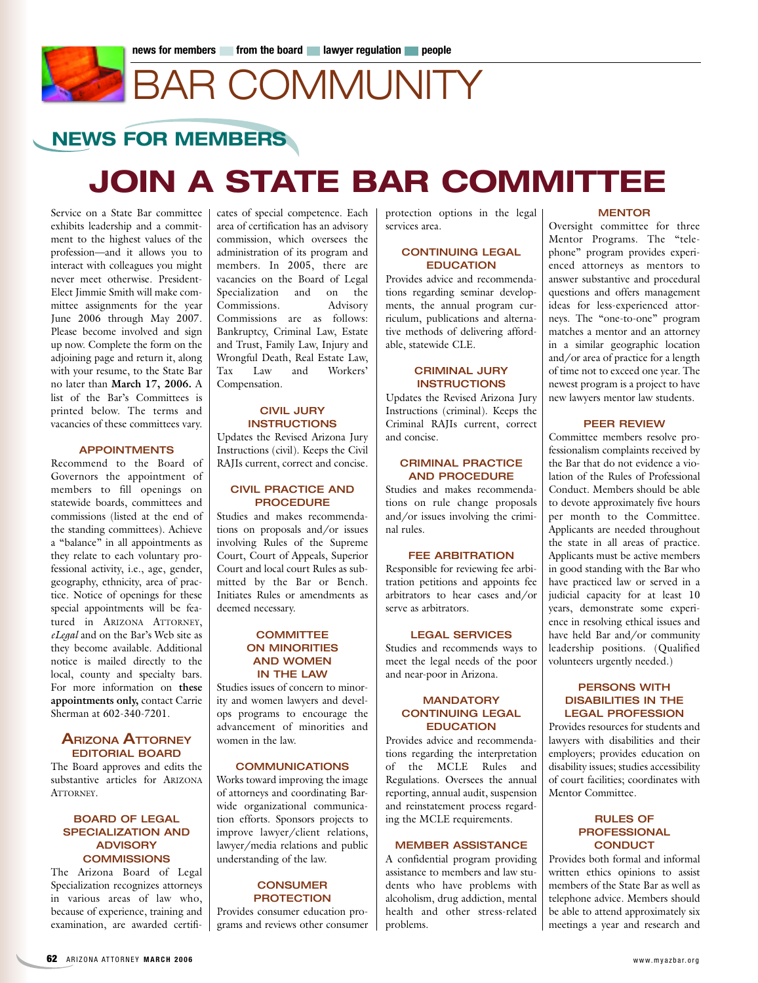# BAR COMMUNITY

### **NEWS FOR MEMBERS**

## **JOIN A STATE BAR COMMITTEE**

Service on a State Bar committee exhibits leadership and a commitment to the highest values of the profession—and it allows you to interact with colleagues you might never meet otherwise. President-Elect Jimmie Smith will make committee assignments for the year June 2006 through May 2007. Please become involved and sign up now. Complete the form on the adjoining page and return it, along with your resume, to the State Bar no later than **March 17, 2006.** A list of the Bar's Committees is printed below. The terms and vacancies of these committees vary.

#### **APPOINTMENTS**

Recommend to the Board of Governors the appointment of members to fill openings on statewide boards, committees and commissions (listed at the end of the standing committees). Achieve a "balance" in all appointments as they relate to each voluntary professional activity, i.e., age, gender, geography, ethnicity, area of practice. Notice of openings for these special appointments will be featured in ARIZONA ATTORNEY, *eLegal* and on the Bar's Web site as they become available. Additional notice is mailed directly to the local, county and specialty bars. For more information on **these appointments only,** contact Carrie Sherman at 602-340-7201.

#### **ARIZONA ATTORNEY EDITORIAL BOARD**

The Board approves and edits the substantive articles for ARIZONA ATTORNEY.

#### **BOARD OF LEGAL SPECIALIZATION AND ADVISORY COMMISSIONS**

The Arizona Board of Legal Specialization recognizes attorneys in various areas of law who, because of experience, training and examination, are awarded certificates of special competence. Each area of certification has an advisory commission, which oversees the administration of its program and members. In 2005, there are vacancies on the Board of Legal Specialization and on the Commissions. Advisory Commissions are as follows: Bankruptcy, Criminal Law, Estate and Trust, Family Law, Injury and Wrongful Death, Real Estate Law, Tax Law and Workers' Compensation.

#### **CIVIL JURY INSTRUCTIONS**

Updates the Revised Arizona Jury Instructions (civil). Keeps the Civil RAJIs current, correct and concise.

#### **CIVIL PRACTICE AND PROCEDURE**

Studies and makes recommendations on proposals and/or issues involving Rules of the Supreme Court, Court of Appeals, Superior Court and local court Rules as submitted by the Bar or Bench. Initiates Rules or amendments as deemed necessary.

#### **COMMITTEE ON MINORITIES AND WOMEN IN THE LAW**

Studies issues of concern to minority and women lawyers and develops programs to encourage the advancement of minorities and women in the law.

#### **COMMUNICATIONS**

Works toward improving the image of attorneys and coordinating Barwide organizational communication efforts. Sponsors projects to improve lawyer/client relations, lawyer/media relations and public understanding of the law.

#### **CONSUMER PROTECTION**

Provides consumer education programs and reviews other consumer protection options in the legal services area.

#### **CONTINUING LEGAL EDUCATION**

Provides advice and recommendations regarding seminar developments, the annual program curriculum, publications and alternative methods of delivering affordable, statewide CLE.

#### **CRIMINAL JURY INSTRUCTIONS**

Updates the Revised Arizona Jury Instructions (criminal). Keeps the Criminal RAJIs current, correct and concise.

#### **CRIMINAL PRACTICE AND PROCEDURE**

Studies and makes recommendations on rule change proposals and/or issues involving the criminal rules.

#### **FEE ARBITRATION**

Responsible for reviewing fee arbitration petitions and appoints fee arbitrators to hear cases and/or serve as arbitrators.

#### **LEGAL SERVICES**

Studies and recommends ways to meet the legal needs of the poor and near-poor in Arizona.

#### **MANDATORY CONTINUING LEGAL EDUCATION**

Provides advice and recommendations regarding the interpretation of the MCLE Rules and Regulations. Oversees the annual reporting, annual audit, suspension and reinstatement process regarding the MCLE requirements.

#### **MEMBER ASSISTANCE**

A confidential program providing assistance to members and law students who have problems with alcoholism, drug addiction, mental health and other stress-related problems.

#### **MENTOR**

Oversight committee for three Mentor Programs. The "telephone" program provides experienced attorneys as mentors to answer substantive and procedural questions and offers management ideas for less-experienced attorneys. The "one-to-one" program matches a mentor and an attorney in a similar geographic location and/or area of practice for a length of time not to exceed one year. The newest program is a project to have new lawyers mentor law students.

#### **PEER REVIEW**

Committee members resolve professionalism complaints received by the Bar that do not evidence a violation of the Rules of Professional Conduct. Members should be able to devote approximately five hours per month to the Committee. Applicants are needed throughout the state in all areas of practice. Applicants must be active members in good standing with the Bar who have practiced law or served in a judicial capacity for at least 10 years, demonstrate some experience in resolving ethical issues and have held Bar and/or community leadership positions. (Qualified volunteers urgently needed.)

#### **PERSONS WITH DISABILITIES IN THE LEGAL PROFESSION**

Provides resources for students and lawyers with disabilities and their employers; provides education on disability issues; studies accessibility of court facilities; coordinates with Mentor Committee.

#### **RULES OF PROFESSIONAL CONDUCT**

Provides both formal and informal written ethics opinions to assist members of the State Bar as well as telephone advice. Members should be able to attend approximately six meetings a year and research and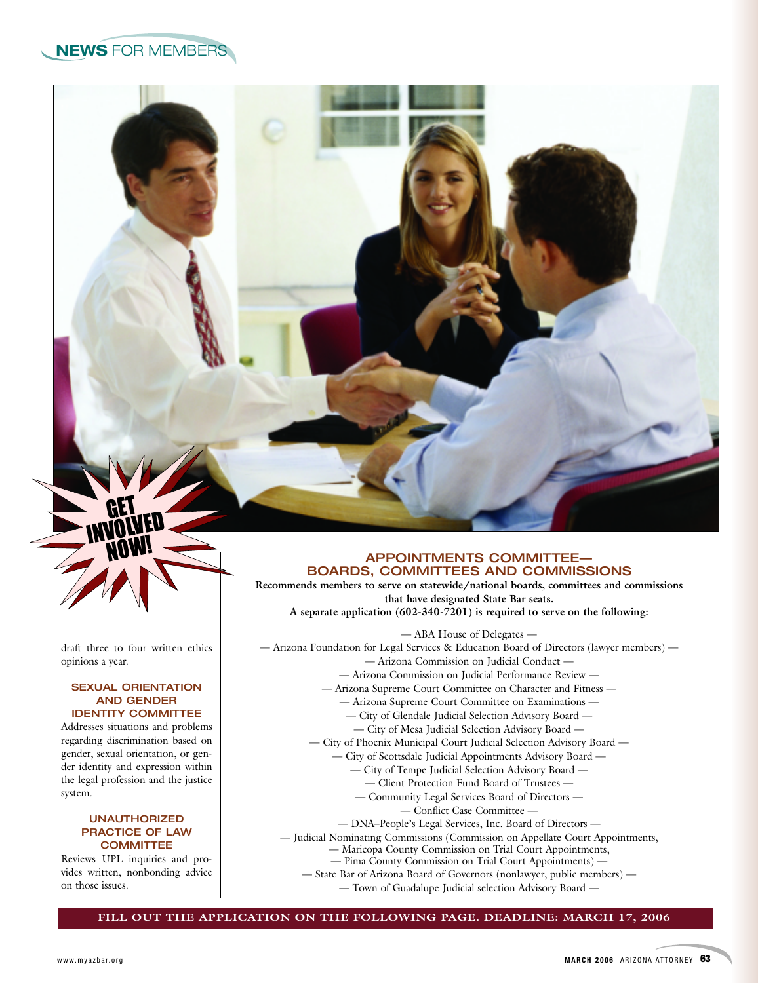draft three to four written ethics opinions a year.

GET INVOLVED NOW!

#### **SEXUAL ORIENTATION AND GENDER IDENTITY COMMITTEE**

Addresses situations and problems regarding discrimination based on gender, sexual orientation, or gender identity and expression within the legal profession and the justice system.

#### **UNAUTHORIZED PRACTICE OF LAW COMMITTEE**

Reviews UPL inquiries and provides written, nonbonding advice on those issues.

#### **APPOINTMENTS COMMITTEE— BOARDS, COMMITTEES AND COMMISSIONS**

**Recommends members to serve on statewide/national boards, committees and commissions that have designated State Bar seats.**

**A separate application (602-340-7201) is required to serve on the following:**

— ABA House of Delegates — — Arizona Foundation for Legal Services & Education Board of Directors (lawyer members) — — Arizona Commission on Judicial Conduct — — Arizona Commission on Judicial Performance Review — — Arizona Supreme Court Committee on Character and Fitness — — Arizona Supreme Court Committee on Examinations — — City of Glendale Judicial Selection Advisory Board — — City of Mesa Judicial Selection Advisory Board — — City of Phoenix Municipal Court Judicial Selection Advisory Board — — City of Scottsdale Judicial Appointments Advisory Board — — City of Tempe Judicial Selection Advisory Board — — Client Protection Fund Board of Trustees — — Community Legal Services Board of Directors — — Conflict Case Committee — — DNA–People's Legal Services, Inc. Board of Directors — — Judicial Nominating Commissions (Commission on Appellate Court Appointments, — Maricopa County Commission on Trial Court Appointments, — Pima County Commission on Trial Court Appointments) — — State Bar of Arizona Board of Governors (nonlawyer, public members) —

— Town of Guadalupe Judicial selection Advisory Board —

**FILL OUT THE APPLICATION ON THE FOLLOWING PAGE. DEADLINE: MARCH 17, 2006**